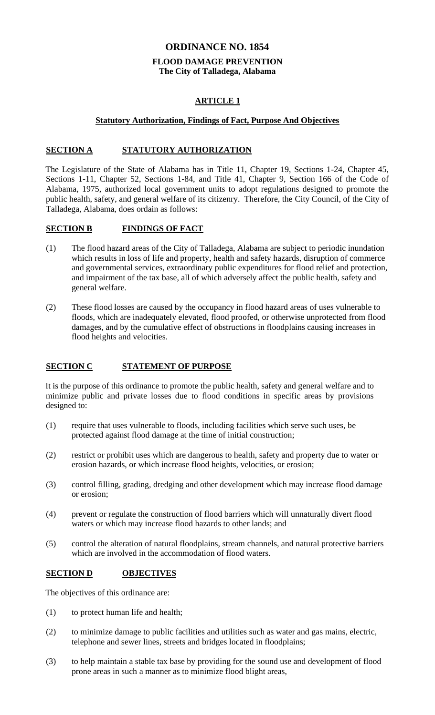### **ORDINANCE NO. 1854**

# **FLOOD DAMAGE PREVENTION The City of Talladega, Alabama**

# **ARTICLE 1**

### **Statutory Authorization, Findings of Fact, Purpose And Objectives**

### **SECTION A STATUTORY AUTHORIZATION**

The Legislature of the State of Alabama has in Title 11, Chapter 19, Sections 1-24, Chapter 45, Sections 1-11, Chapter 52, Sections 1-84, and Title 41, Chapter 9, Section 166 of the Code of Alabama, 1975, authorized local government units to adopt regulations designed to promote the public health, safety, and general welfare of its citizenry. Therefore, the City Council, of the City of Talladega, Alabama, does ordain as follows:

# **SECTION B FINDINGS OF FACT**

- (1) The flood hazard areas of the City of Talladega, Alabama are subject to periodic inundation which results in loss of life and property, health and safety hazards, disruption of commerce and governmental services, extraordinary public expenditures for flood relief and protection, and impairment of the tax base, all of which adversely affect the public health, safety and general welfare.
- (2) These flood losses are caused by the occupancy in flood hazard areas of uses vulnerable to floods, which are inadequately elevated, flood proofed, or otherwise unprotected from flood damages, and by the cumulative effect of obstructions in floodplains causing increases in flood heights and velocities.

# **SECTION C STATEMENT OF PURPOSE**

It is the purpose of this ordinance to promote the public health, safety and general welfare and to minimize public and private losses due to flood conditions in specific areas by provisions designed to:

- (1) require that uses vulnerable to floods, including facilities which serve such uses, be protected against flood damage at the time of initial construction;
- (2) restrict or prohibit uses which are dangerous to health, safety and property due to water or erosion hazards, or which increase flood heights, velocities, or erosion;
- (3) control filling, grading, dredging and other development which may increase flood damage or erosion;
- (4) prevent or regulate the construction of flood barriers which will unnaturally divert flood waters or which may increase flood hazards to other lands; and
- (5) control the alteration of natural floodplains, stream channels, and natural protective barriers which are involved in the accommodation of flood waters.

# **SECTION D OBJECTIVES**

The objectives of this ordinance are:

- (1) to protect human life and health;
- (2) to minimize damage to public facilities and utilities such as water and gas mains, electric, telephone and sewer lines, streets and bridges located in floodplains;
- (3) to help maintain a stable tax base by providing for the sound use and development of flood prone areas in such a manner as to minimize flood blight areas,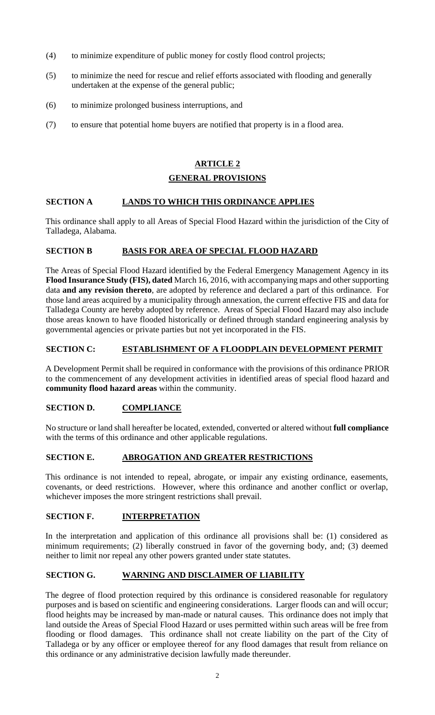- (4) to minimize expenditure of public money for costly flood control projects;
- (5) to minimize the need for rescue and relief efforts associated with flooding and generally undertaken at the expense of the general public;
- (6) to minimize prolonged business interruptions, and
- (7) to ensure that potential home buyers are notified that property is in a flood area.

# **ARTICLE 2**

### **GENERAL PROVISIONS**

### **SECTION A LANDS TO WHICH THIS ORDINANCE APPLIES**

This ordinance shall apply to all Areas of Special Flood Hazard within the jurisdiction of the City of Talladega, Alabama.

### **SECTION B BASIS FOR AREA OF SPECIAL FLOOD HAZARD**

The Areas of Special Flood Hazard identified by the Federal Emergency Management Agency in its **Flood Insurance Study (FIS), dated** March 16, 2016, with accompanying maps and other supporting data **and any revision thereto**, are adopted by reference and declared a part of this ordinance. For those land areas acquired by a municipality through annexation, the current effective FIS and data for Talladega County are hereby adopted by reference. Areas of Special Flood Hazard may also include those areas known to have flooded historically or defined through standard engineering analysis by governmental agencies or private parties but not yet incorporated in the FIS.

### **SECTION C: ESTABLISHMENT OF A FLOODPLAIN DEVELOPMENT PERMIT**

A Development Permit shall be required in conformance with the provisions of this ordinance PRIOR to the commencement of any development activities in identified areas of special flood hazard and **community flood hazard areas** within the community.

### **SECTION D. COMPLIANCE**

No structure or land shall hereafter be located, extended, converted or altered without **full compliance** with the terms of this ordinance and other applicable regulations.

### **SECTION E. ABROGATION AND GREATER RESTRICTIONS**

This ordinance is not intended to repeal, abrogate, or impair any existing ordinance, easements, covenants, or deed restrictions. However, where this ordinance and another conflict or overlap, whichever imposes the more stringent restrictions shall prevail.

### **SECTION F. INTERPRETATION**

In the interpretation and application of this ordinance all provisions shall be: (1) considered as minimum requirements; (2) liberally construed in favor of the governing body, and; (3) deemed neither to limit nor repeal any other powers granted under state statutes.

### **SECTION G. WARNING AND DISCLAIMER OF LIABILITY**

The degree of flood protection required by this ordinance is considered reasonable for regulatory purposes and is based on scientific and engineering considerations. Larger floods can and will occur; flood heights may be increased by man-made or natural causes. This ordinance does not imply that land outside the Areas of Special Flood Hazard or uses permitted within such areas will be free from flooding or flood damages. This ordinance shall not create liability on the part of the City of Talladega or by any officer or employee thereof for any flood damages that result from reliance on this ordinance or any administrative decision lawfully made thereunder.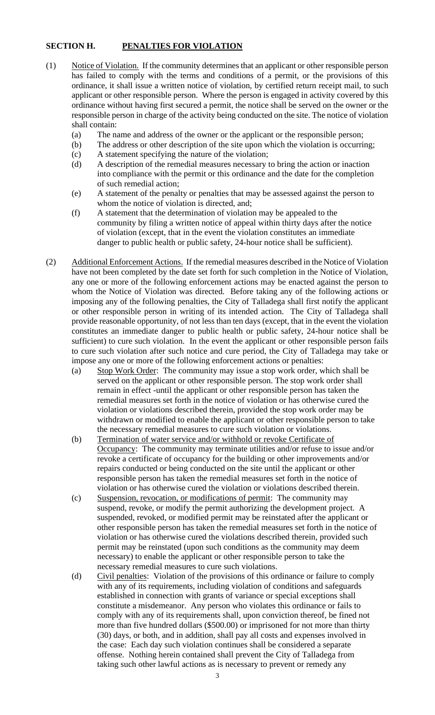# **SECTION H. PENALTIES FOR VIOLATION**

- (1) Notice of Violation. If the community determines that an applicant or other responsible person has failed to comply with the terms and conditions of a permit, or the provisions of this ordinance, it shall issue a written notice of violation, by certified return receipt mail, to such applicant or other responsible person. Where the person is engaged in activity covered by this ordinance without having first secured a permit, the notice shall be served on the owner or the responsible person in charge of the activity being conducted on the site. The notice of violation shall contain:
	- (a) The name and address of the owner or the applicant or the responsible person;
	- (b) The address or other description of the site upon which the violation is occurring;
	- (c) A statement specifying the nature of the violation;
	- (d) A description of the remedial measures necessary to bring the action or inaction into compliance with the permit or this ordinance and the date for the completion of such remedial action;
	- (e) A statement of the penalty or penalties that may be assessed against the person to whom the notice of violation is directed, and;
	- (f) A statement that the determination of violation may be appealed to the community by filing a written notice of appeal within thirty days after the notice of violation (except, that in the event the violation constitutes an immediate danger to public health or public safety, 24-hour notice shall be sufficient).
- (2) Additional Enforcement Actions. If the remedial measures described in the Notice of Violation have not been completed by the date set forth for such completion in the Notice of Violation, any one or more of the following enforcement actions may be enacted against the person to whom the Notice of Violation was directed. Before taking any of the following actions or imposing any of the following penalties, the City of Talladega shall first notify the applicant or other responsible person in writing of its intended action. The City of Talladega shall provide reasonable opportunity, of not less than ten days (except, that in the event the violation constitutes an immediate danger to public health or public safety, 24-hour notice shall be sufficient) to cure such violation. In the event the applicant or other responsible person fails to cure such violation after such notice and cure period, the City of Talladega may take or impose any one or more of the following enforcement actions or penalties:
	- (a) Stop Work Order: The community may issue a stop work order, which shall be served on the applicant or other responsible person. The stop work order shall remain in effect -until the applicant or other responsible person has taken the remedial measures set forth in the notice of violation or has otherwise cured the violation or violations described therein, provided the stop work order may be withdrawn or modified to enable the applicant or other responsible person to take the necessary remedial measures to cure such violation or violations.
	- (b) Termination of water service and/or withhold or revoke Certificate of Occupancy: The community may terminate utilities and/or refuse to issue and/or revoke a certificate of occupancy for the building or other improvements and/or repairs conducted or being conducted on the site until the applicant or other responsible person has taken the remedial measures set forth in the notice of violation or has otherwise cured the violation or violations described therein.
	- (c) Suspension, revocation, or modifications of permit: The community may suspend, revoke, or modify the permit authorizing the development project. A suspended, revoked, or modified permit may be reinstated after the applicant or other responsible person has taken the remedial measures set forth in the notice of violation or has otherwise cured the violations described therein, provided such permit may be reinstated (upon such conditions as the community may deem necessary) to enable the applicant or other responsible person to take the necessary remedial measures to cure such violations.
	- (d) Civil penalties: Violation of the provisions of this ordinance or failure to comply with any of its requirements, including violation of conditions and safeguards established in connection with grants of variance or special exceptions shall constitute a misdemeanor. Any person who violates this ordinance or fails to comply with any of its requirements shall, upon conviction thereof, be fined not more than five hundred dollars (\$500.00) or imprisoned for not more than thirty (30) days, or both, and in addition, shall pay all costs and expenses involved in the case: Each day such violation continues shall be considered a separate offense. Nothing herein contained shall prevent the City of Talladega from taking such other lawful actions as is necessary to prevent or remedy any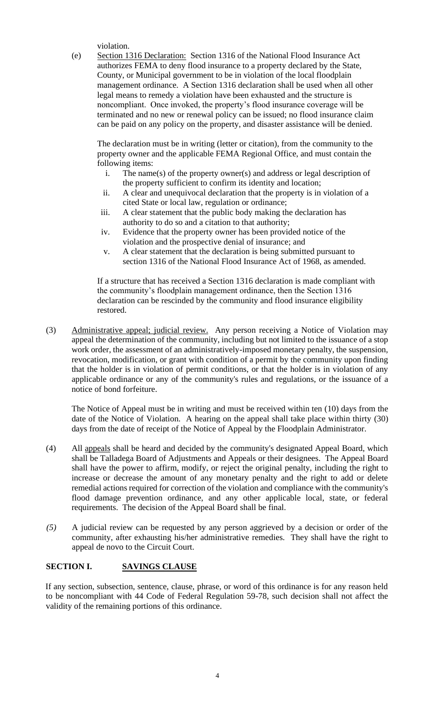violation.

(e) Section 1316 Declaration: Section 1316 of the National Flood Insurance Act authorizes FEMA to deny flood insurance to a property declared by the State, County, or Municipal government to be in violation of the local floodplain management ordinance. A Section 1316 declaration shall be used when all other legal means to remedy a violation have been exhausted and the structure is noncompliant. Once invoked, the property's flood insurance coverage will be terminated and no new or renewal policy can be issued; no flood insurance claim can be paid on any policy on the property, and disaster assistance will be denied.

The declaration must be in writing (letter or citation), from the community to the property owner and the applicable FEMA Regional Office, and must contain the following items:

- i. The name(s) of the property owner(s) and address or legal description of the property sufficient to confirm its identity and location;
- ii. A clear and unequivocal declaration that the property is in violation of a cited State or local law, regulation or ordinance;
- iii. A clear statement that the public body making the declaration has authority to do so and a citation to that authority;
- iv. Evidence that the property owner has been provided notice of the violation and the prospective denial of insurance; and
- v. A clear statement that the declaration is being submitted pursuant to section 1316 of the National Flood Insurance Act of 1968, as amended.

If a structure that has received a Section 1316 declaration is made compliant with the community's floodplain management ordinance, then the Section 1316 declaration can be rescinded by the community and flood insurance eligibility restored.

(3) Administrative appeal; judicial review. Any person receiving a Notice of Violation may appeal the determination of the community, including but not limited to the issuance of a stop work order, the assessment of an administratively-imposed monetary penalty, the suspension, revocation, modification, or grant with condition of a permit by the community upon finding that the holder is in violation of permit conditions, or that the holder is in violation of any applicable ordinance or any of the community's rules and regulations, or the issuance of a notice of bond forfeiture.

The Notice of Appeal must be in writing and must be received within ten (10) days from the date of the Notice of Violation. A hearing on the appeal shall take place within thirty (30) days from the date of receipt of the Notice of Appeal by the Floodplain Administrator.

- (4) All appeals shall be heard and decided by the community's designated Appeal Board, which shall be Talladega Board of Adjustments and Appeals or their designees. The Appeal Board shall have the power to affirm, modify, or reject the original penalty, including the right to increase or decrease the amount of any monetary penalty and the right to add or delete remedial actions required for correction of the violation and compliance with the community's flood damage prevention ordinance, and any other applicable local, state, or federal requirements. The decision of the Appeal Board shall be final.
- *(5)* A judicial review can be requested by any person aggrieved by a decision or order of the community, after exhausting his/her administrative remedies. They shall have the right to appeal de novo to the Circuit Court.

# **SECTION I. SAVINGS CLAUSE**

If any section, subsection, sentence, clause, phrase, or word of this ordinance is for any reason held to be noncompliant with 44 Code of Federal Regulation 59-78, such decision shall not affect the validity of the remaining portions of this ordinance.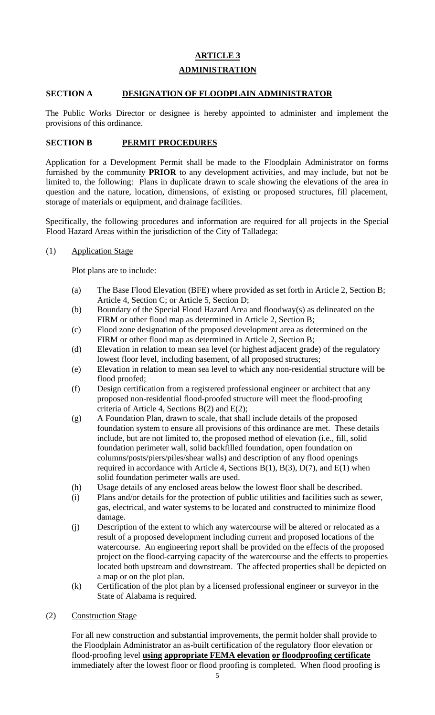# **ARTICLE 3 ADMINISTRATION**

### **SECTION A DESIGNATION OF FLOODPLAIN ADMINISTRATOR**

The Public Works Director or designee is hereby appointed to administer and implement the provisions of this ordinance.

### **SECTION B PERMIT PROCEDURES**

Application for a Development Permit shall be made to the Floodplain Administrator on forms furnished by the community **PRIOR** to any development activities, and may include, but not be limited to, the following: Plans in duplicate drawn to scale showing the elevations of the area in question and the nature, location, dimensions, of existing or proposed structures, fill placement, storage of materials or equipment, and drainage facilities.

Specifically, the following procedures and information are required for all projects in the Special Flood Hazard Areas within the jurisdiction of the City of Talladega:

(1) Application Stage

Plot plans are to include:

- (a) The Base Flood Elevation (BFE) where provided as set forth in Article 2, Section B; Article 4, Section C; or Article 5, Section D;
- (b) Boundary of the Special Flood Hazard Area and floodway(s) as delineated on the FIRM or other flood map as determined in Article 2, Section B;
- (c) Flood zone designation of the proposed development area as determined on the FIRM or other flood map as determined in Article 2, Section B;
- (d) Elevation in relation to mean sea level (or highest adjacent grade) of the regulatory lowest floor level, including basement, of all proposed structures;
- (e) Elevation in relation to mean sea level to which any non-residential structure will be flood proofed;
- (f) Design certification from a registered professional engineer or architect that any proposed non-residential flood-proofed structure will meet the flood-proofing criteria of Article 4, Sections B(2) and E(2);
- (g) A Foundation Plan, drawn to scale, that shall include details of the proposed foundation system to ensure all provisions of this ordinance are met. These details include, but are not limited to, the proposed method of elevation (i.e., fill, solid foundation perimeter wall, solid backfilled foundation, open foundation on columns/posts/piers/piles/shear walls) and description of any flood openings required in accordance with Article 4, Sections  $B(1)$ ,  $B(3)$ ,  $D(7)$ , and  $E(1)$  when solid foundation perimeter walls are used.
- (h) Usage details of any enclosed areas below the lowest floor shall be described.
- (i) Plans and/or details for the protection of public utilities and facilities such as sewer, gas, electrical, and water systems to be located and constructed to minimize flood damage.
- (j) Description of the extent to which any watercourse will be altered or relocated as a result of a proposed development including current and proposed locations of the watercourse. An engineering report shall be provided on the effects of the proposed project on the flood-carrying capacity of the watercourse and the effects to properties located both upstream and downstream. The affected properties shall be depicted on a map or on the plot plan.
- (k) Certification of the plot plan by a licensed professional engineer or surveyor in the State of Alabama is required.
- (2) Construction Stage

For all new construction and substantial improvements, the permit holder shall provide to the Floodplain Administrator an as-built certification of the regulatory floor elevation or flood-proofing level **using appropriate FEMA elevation or floodproofing certificate** immediately after the lowest floor or flood proofing is completed. When flood proofing is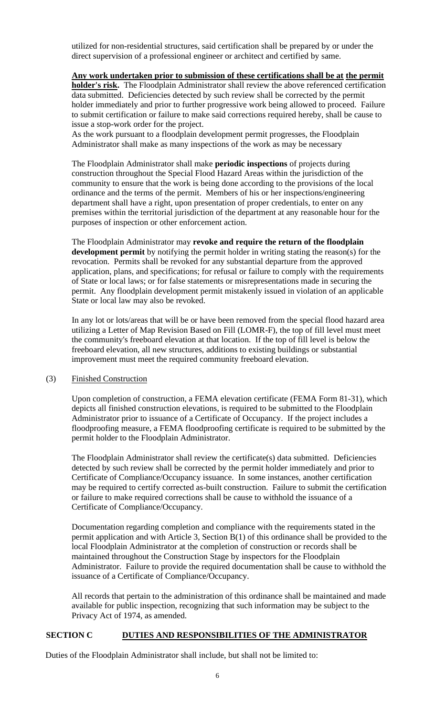utilized for non-residential structures, said certification shall be prepared by or under the direct supervision of a professional engineer or architect and certified by same.

### **Any work undertaken prior to submission of these certifications shall be at the permit**

**holder's risk.** The Floodplain Administrator shall review the above referenced certification data submitted. Deficiencies detected by such review shall be corrected by the permit holder immediately and prior to further progressive work being allowed to proceed. Failure to submit certification or failure to make said corrections required hereby, shall be cause to issue a stop-work order for the project.

As the work pursuant to a floodplain development permit progresses, the Floodplain Administrator shall make as many inspections of the work as may be necessary

The Floodplain Administrator shall make **periodic inspections** of projects during construction throughout the Special Flood Hazard Areas within the jurisdiction of the community to ensure that the work is being done according to the provisions of the local ordinance and the terms of the permit. Members of his or her inspections/engineering department shall have a right, upon presentation of proper credentials, to enter on any premises within the territorial jurisdiction of the department at any reasonable hour for the purposes of inspection or other enforcement action.

The Floodplain Administrator may **revoke and require the return of the floodplain development permit** by notifying the permit holder in writing stating the reason(s) for the revocation. Permits shall be revoked for any substantial departure from the approved application, plans, and specifications; for refusal or failure to comply with the requirements of State or local laws; or for false statements or misrepresentations made in securing the permit. Any floodplain development permit mistakenly issued in violation of an applicable State or local law may also be revoked.

In any lot or lots/areas that will be or have been removed from the special flood hazard area utilizing a Letter of Map Revision Based on Fill (LOMR-F), the top of fill level must meet the community's freeboard elevation at that location. If the top of fill level is below the freeboard elevation, all new structures, additions to existing buildings or substantial improvement must meet the required community freeboard elevation.

### (3) Finished Construction

Upon completion of construction, a FEMA elevation certificate (FEMA Form 81-31), which depicts all finished construction elevations, is required to be submitted to the Floodplain Administrator prior to issuance of a Certificate of Occupancy. If the project includes a floodproofing measure, a FEMA floodproofing certificate is required to be submitted by the permit holder to the Floodplain Administrator.

The Floodplain Administrator shall review the certificate(s) data submitted. Deficiencies detected by such review shall be corrected by the permit holder immediately and prior to Certificate of Compliance/Occupancy issuance. In some instances, another certification may be required to certify corrected as-built construction. Failure to submit the certification or failure to make required corrections shall be cause to withhold the issuance of a Certificate of Compliance/Occupancy.

Documentation regarding completion and compliance with the requirements stated in the permit application and with Article 3, Section B(1) of this ordinance shall be provided to the local Floodplain Administrator at the completion of construction or records shall be maintained throughout the Construction Stage by inspectors for the Floodplain Administrator. Failure to provide the required documentation shall be cause to withhold the issuance of a Certificate of Compliance/Occupancy.

All records that pertain to the administration of this ordinance shall be maintained and made available for public inspection, recognizing that such information may be subject to the Privacy Act of 1974, as amended.

### **SECTION C DUTIES AND RESPONSIBILITIES OF THE ADMINISTRATOR**

Duties of the Floodplain Administrator shall include, but shall not be limited to: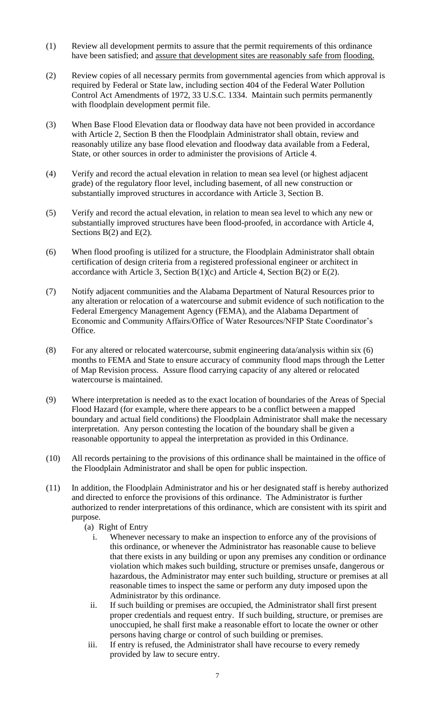- (1) Review all development permits to assure that the permit requirements of this ordinance have been satisfied; and assure that development sites are reasonably safe from flooding.
- (2) Review copies of all necessary permits from governmental agencies from which approval is required by Federal or State law, including section 404 of the Federal Water Pollution Control Act Amendments of 1972, 33 U.S.C. 1334. Maintain such permits permanently with floodplain development permit file.
- (3) When Base Flood Elevation data or floodway data have not been provided in accordance with Article 2, Section B then the Floodplain Administrator shall obtain, review and reasonably utilize any base flood elevation and floodway data available from a Federal, State, or other sources in order to administer the provisions of Article 4.
- (4) Verify and record the actual elevation in relation to mean sea level (or highest adjacent grade) of the regulatory floor level, including basement, of all new construction or substantially improved structures in accordance with Article 3, Section B.
- (5) Verify and record the actual elevation, in relation to mean sea level to which any new or substantially improved structures have been flood-proofed, in accordance with Article 4, Sections  $B(2)$  and  $E(2)$ .
- (6) When flood proofing is utilized for a structure, the Floodplain Administrator shall obtain certification of design criteria from a registered professional engineer or architect in accordance with Article 3, Section  $B(1)(c)$  and Article 4, Section  $B(2)$  or  $E(2)$ .
- (7) Notify adjacent communities and the Alabama Department of Natural Resources prior to any alteration or relocation of a watercourse and submit evidence of such notification to the Federal Emergency Management Agency (FEMA), and the Alabama Department of Economic and Community Affairs/Office of Water Resources/NFIP State Coordinator's Office.
- (8) For any altered or relocated watercourse, submit engineering data/analysis within six (6) months to FEMA and State to ensure accuracy of community flood maps through the Letter of Map Revision process. Assure flood carrying capacity of any altered or relocated watercourse is maintained.
- (9) Where interpretation is needed as to the exact location of boundaries of the Areas of Special Flood Hazard (for example, where there appears to be a conflict between a mapped boundary and actual field conditions) the Floodplain Administrator shall make the necessary interpretation. Any person contesting the location of the boundary shall be given a reasonable opportunity to appeal the interpretation as provided in this Ordinance.
- (10) All records pertaining to the provisions of this ordinance shall be maintained in the office of the Floodplain Administrator and shall be open for public inspection.
- (11) In addition, the Floodplain Administrator and his or her designated staff is hereby authorized and directed to enforce the provisions of this ordinance. The Administrator is further authorized to render interpretations of this ordinance, which are consistent with its spirit and purpose.
	- (a) Right of Entry
		- i. Whenever necessary to make an inspection to enforce any of the provisions of this ordinance, or whenever the Administrator has reasonable cause to believe that there exists in any building or upon any premises any condition or ordinance violation which makes such building, structure or premises unsafe, dangerous or hazardous, the Administrator may enter such building, structure or premises at all reasonable times to inspect the same or perform any duty imposed upon the Administrator by this ordinance.
		- ii. If such building or premises are occupied, the Administrator shall first present proper credentials and request entry. If such building, structure, or premises are unoccupied, he shall first make a reasonable effort to locate the owner or other persons having charge or control of such building or premises.
	- iii. If entry is refused, the Administrator shall have recourse to every remedy provided by law to secure entry.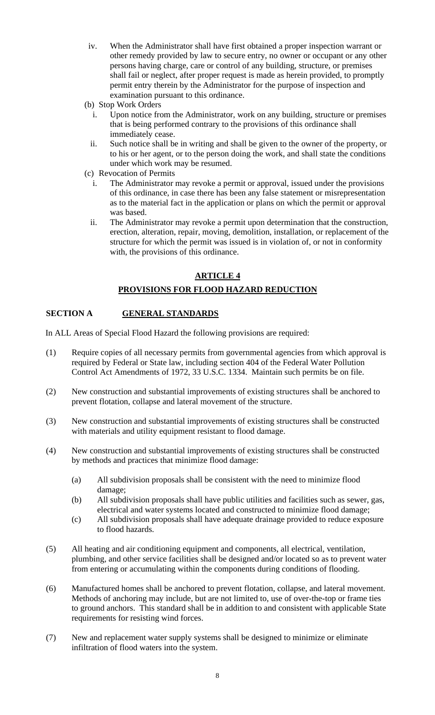- iv. When the Administrator shall have first obtained a proper inspection warrant or other remedy provided by law to secure entry, no owner or occupant or any other persons having charge, care or control of any building, structure, or premises shall fail or neglect, after proper request is made as herein provided, to promptly permit entry therein by the Administrator for the purpose of inspection and examination pursuant to this ordinance.
- (b) Stop Work Orders
	- i. Upon notice from the Administrator, work on any building, structure or premises that is being performed contrary to the provisions of this ordinance shall immediately cease.
	- ii. Such notice shall be in writing and shall be given to the owner of the property, or to his or her agent, or to the person doing the work, and shall state the conditions under which work may be resumed.
- (c) Revocation of Permits
	- i. The Administrator may revoke a permit or approval, issued under the provisions of this ordinance, in case there has been any false statement or misrepresentation as to the material fact in the application or plans on which the permit or approval was based.
	- ii. The Administrator may revoke a permit upon determination that the construction, erection, alteration, repair, moving, demolition, installation, or replacement of the structure for which the permit was issued is in violation of, or not in conformity with, the provisions of this ordinance.

# **ARTICLE 4**

# **PROVISIONS FOR FLOOD HAZARD REDUCTION**

# **SECTION A GENERAL STANDARDS**

In ALL Areas of Special Flood Hazard the following provisions are required:

- (1) Require copies of all necessary permits from governmental agencies from which approval is required by Federal or State law, including section 404 of the Federal Water Pollution Control Act Amendments of 1972, 33 U.S.C. 1334. Maintain such permits be on file.
- (2) New construction and substantial improvements of existing structures shall be anchored to prevent flotation, collapse and lateral movement of the structure.
- (3) New construction and substantial improvements of existing structures shall be constructed with materials and utility equipment resistant to flood damage.
- (4) New construction and substantial improvements of existing structures shall be constructed by methods and practices that minimize flood damage:
	- (a) All subdivision proposals shall be consistent with the need to minimize flood damage;
	- (b) All subdivision proposals shall have public utilities and facilities such as sewer, gas, electrical and water systems located and constructed to minimize flood damage;
	- (c) All subdivision proposals shall have adequate drainage provided to reduce exposure to flood hazards.
- (5) All heating and air conditioning equipment and components, all electrical, ventilation, plumbing, and other service facilities shall be designed and/or located so as to prevent water from entering or accumulating within the components during conditions of flooding.
- (6) Manufactured homes shall be anchored to prevent flotation, collapse, and lateral movement. Methods of anchoring may include, but are not limited to, use of over-the-top or frame ties to ground anchors. This standard shall be in addition to and consistent with applicable State requirements for resisting wind forces.
- (7) New and replacement water supply systems shall be designed to minimize or eliminate infiltration of flood waters into the system.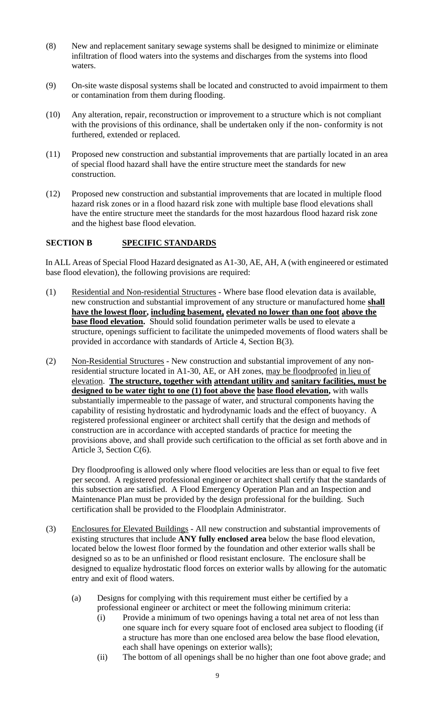- (8) New and replacement sanitary sewage systems shall be designed to minimize or eliminate infiltration of flood waters into the systems and discharges from the systems into flood waters.
- (9) On-site waste disposal systems shall be located and constructed to avoid impairment to them or contamination from them during flooding.
- (10) Any alteration, repair, reconstruction or improvement to a structure which is not compliant with the provisions of this ordinance, shall be undertaken only if the non- conformity is not furthered, extended or replaced.
- (11) Proposed new construction and substantial improvements that are partially located in an area of special flood hazard shall have the entire structure meet the standards for new construction.
- (12) Proposed new construction and substantial improvements that are located in multiple flood hazard risk zones or in a flood hazard risk zone with multiple base flood elevations shall have the entire structure meet the standards for the most hazardous flood hazard risk zone and the highest base flood elevation.

### **SECTION B SPECIFIC STANDARDS**

In ALL Areas of Special Flood Hazard designated as A1-30, AE, AH, A (with engineered or estimated base flood elevation), the following provisions are required:

- (1) Residential and Non-residential Structures Where base flood elevation data is available, new construction and substantial improvement of any structure or manufactured home **shall have the lowest floor, including basement, elevated no lower than one foot above the base flood elevation.** Should solid foundation perimeter walls be used to elevate a structure, openings sufficient to facilitate the unimpeded movements of flood waters shall be provided in accordance with standards of Article 4, Section B(3).
- (2) Non-Residential Structures New construction and substantial improvement of any nonresidential structure located in A1-30, AE, or AH zones, may be floodproofed in lieu of elevation. **The structure, together with attendant utility and sanitary facilities, must be designed to be water tight to one (1) foot above the base flood elevation,** with walls substantially impermeable to the passage of water, and structural components having the capability of resisting hydrostatic and hydrodynamic loads and the effect of buoyancy. A registered professional engineer or architect shall certify that the design and methods of construction are in accordance with accepted standards of practice for meeting the provisions above, and shall provide such certification to the official as set forth above and in Article 3, Section C(6).

Dry floodproofing is allowed only where flood velocities are less than or equal to five feet per second. A registered professional engineer or architect shall certify that the standards of this subsection are satisfied. A Flood Emergency Operation Plan and an Inspection and Maintenance Plan must be provided by the design professional for the building. Such certification shall be provided to the Floodplain Administrator.

- (3) Enclosures for Elevated Buildings All new construction and substantial improvements of existing structures that include **ANY fully enclosed area** below the base flood elevation, located below the lowest floor formed by the foundation and other exterior walls shall be designed so as to be an unfinished or flood resistant enclosure. The enclosure shall be designed to equalize hydrostatic flood forces on exterior walls by allowing for the automatic entry and exit of flood waters.
	- (a) Designs for complying with this requirement must either be certified by a professional engineer or architect or meet the following minimum criteria:
		- (i) Provide a minimum of two openings having a total net area of not less than one square inch for every square foot of enclosed area subject to flooding (if a structure has more than one enclosed area below the base flood elevation, each shall have openings on exterior walls);
		- (ii) The bottom of all openings shall be no higher than one foot above grade; and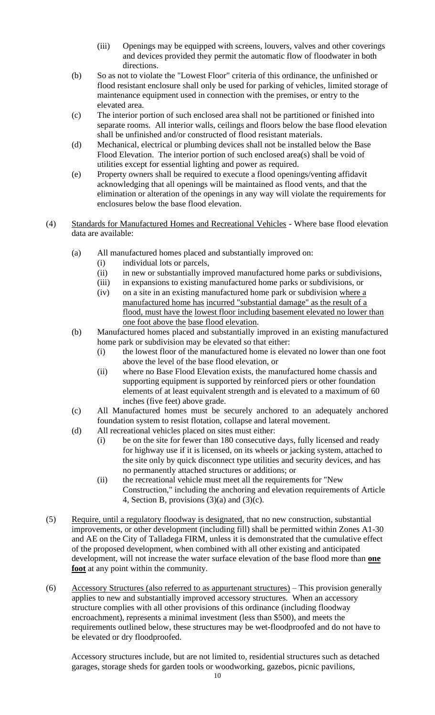- (iii) Openings may be equipped with screens, louvers, valves and other coverings and devices provided they permit the automatic flow of floodwater in both directions.
- (b) So as not to violate the "Lowest Floor" criteria of this ordinance, the unfinished or flood resistant enclosure shall only be used for parking of vehicles, limited storage of maintenance equipment used in connection with the premises, or entry to the elevated area.
- (c) The interior portion of such enclosed area shall not be partitioned or finished into separate rooms. All interior walls, ceilings and floors below the base flood elevation shall be unfinished and/or constructed of flood resistant materials.
- (d) Mechanical, electrical or plumbing devices shall not be installed below the Base Flood Elevation. The interior portion of such enclosed area(s) shall be void of utilities except for essential lighting and power as required.
- (e) Property owners shall be required to execute a flood openings/venting affidavit acknowledging that all openings will be maintained as flood vents, and that the elimination or alteration of the openings in any way will violate the requirements for enclosures below the base flood elevation.
- (4) Standards for Manufactured Homes and Recreational Vehicles Where base flood elevation data are available:
	- (a) All manufactured homes placed and substantially improved on:
		- (i) individual lots or parcels,
		- (ii) in new or substantially improved manufactured home parks or subdivisions,
		- (iii) in expansions to existing manufactured home parks or subdivisions, or
		- (iv) on a site in an existing manufactured home park or subdivision where a manufactured home has incurred "substantial damage" as the result of a flood, must have the lowest floor including basement elevated no lower than one foot above the base flood elevation.
	- (b) Manufactured homes placed and substantially improved in an existing manufactured home park or subdivision may be elevated so that either:
		- (i) the lowest floor of the manufactured home is elevated no lower than one foot above the level of the base flood elevation, or
		- (ii) where no Base Flood Elevation exists, the manufactured home chassis and supporting equipment is supported by reinforced piers or other foundation elements of at least equivalent strength and is elevated to a maximum of 60 inches (five feet) above grade.
	- (c) All Manufactured homes must be securely anchored to an adequately anchored foundation system to resist flotation, collapse and lateral movement.
	- (d) All recreational vehicles placed on sites must either:
		- (i) be on the site for fewer than 180 consecutive days, fully licensed and ready for highway use if it is licensed, on its wheels or jacking system, attached to the site only by quick disconnect type utilities and security devices, and has no permanently attached structures or additions; or
		- (ii) the recreational vehicle must meet all the requirements for "New Construction," including the anchoring and elevation requirements of Article 4, Section B, provisions (3)(a) and (3)(c).
- (5) Require, until a regulatory floodway is designated, that no new construction, substantial improvements, or other development (including fill) shall be permitted within Zones A1-30 and AE on the City of Talladega FIRM, unless it is demonstrated that the cumulative effect of the proposed development, when combined with all other existing and anticipated development, will not increase the water surface elevation of the base flood more than **one foot** at any point within the community.
- (6) Accessory Structures (also referred to as appurtenant structures) This provision generally applies to new and substantially improved accessory structures. When an accessory structure complies with all other provisions of this ordinance (including floodway encroachment), represents a minimal investment (less than \$500), and meets the requirements outlined below, these structures may be wet-floodproofed and do not have to be elevated or dry floodproofed.

Accessory structures include, but are not limited to, residential structures such as detached garages, storage sheds for garden tools or woodworking, gazebos, picnic pavilions,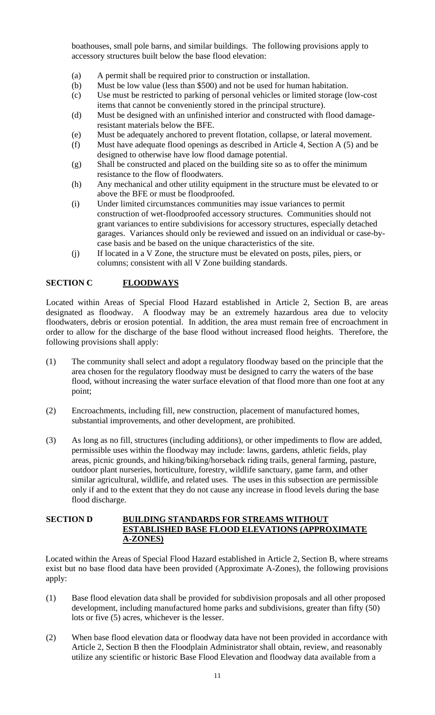boathouses, small pole barns, and similar buildings. The following provisions apply to accessory structures built below the base flood elevation:

- (a) A permit shall be required prior to construction or installation.
- (b) Must be low value (less than \$500) and not be used for human habitation.
- (c) Use must be restricted to parking of personal vehicles or limited storage (low-cost items that cannot be conveniently stored in the principal structure).
- (d) Must be designed with an unfinished interior and constructed with flood damageresistant materials below the BFE.
- (e) Must be adequately anchored to prevent flotation, collapse, or lateral movement.
- (f) Must have adequate flood openings as described in Article 4, Section A (5) and be designed to otherwise have low flood damage potential.
- (g) Shall be constructed and placed on the building site so as to offer the minimum resistance to the flow of floodwaters.
- (h) Any mechanical and other utility equipment in the structure must be elevated to or above the BFE or must be floodproofed.
- (i) Under limited circumstances communities may issue variances to permit construction of wet-floodproofed accessory structures. Communities should not grant variances to entire subdivisions for accessory structures, especially detached garages. Variances should only be reviewed and issued on an individual or case-bycase basis and be based on the unique characteristics of the site.
- (j) If located in a V Zone, the structure must be elevated on posts, piles, piers, or columns; consistent with all V Zone building standards.

# **SECTION C FLOODWAYS**

Located within Areas of Special Flood Hazard established in Article 2, Section B, are areas designated as floodway. A floodway may be an extremely hazardous area due to velocity floodwaters, debris or erosion potential. In addition, the area must remain free of encroachment in order to allow for the discharge of the base flood without increased flood heights. Therefore, the following provisions shall apply:

- (1) The community shall select and adopt a regulatory floodway based on the principle that the area chosen for the regulatory floodway must be designed to carry the waters of the base flood, without increasing the water surface elevation of that flood more than one foot at any point;
- (2) Encroachments, including fill, new construction, placement of manufactured homes, substantial improvements, and other development, are prohibited.
- (3) As long as no fill, structures (including additions), or other impediments to flow are added, permissible uses within the floodway may include: lawns, gardens, athletic fields, play areas, picnic grounds, and hiking/biking/horseback riding trails, general farming, pasture, outdoor plant nurseries, horticulture, forestry, wildlife sanctuary, game farm, and other similar agricultural, wildlife, and related uses. The uses in this subsection are permissible only if and to the extent that they do not cause any increase in flood levels during the base flood discharge.

#### **SECTION D BUILDING STANDARDS FOR STREAMS WITHOUT ESTABLISHED BASE FLOOD ELEVATIONS (APPROXIMATE A-ZONES)**

Located within the Areas of Special Flood Hazard established in Article 2, Section B, where streams exist but no base flood data have been provided (Approximate A-Zones), the following provisions apply:

- (1) Base flood elevation data shall be provided for subdivision proposals and all other proposed development, including manufactured home parks and subdivisions, greater than fifty (50) lots or five (5) acres, whichever is the lesser.
- (2) When base flood elevation data or floodway data have not been provided in accordance with Article 2, Section B then the Floodplain Administrator shall obtain, review, and reasonably utilize any scientific or historic Base Flood Elevation and floodway data available from a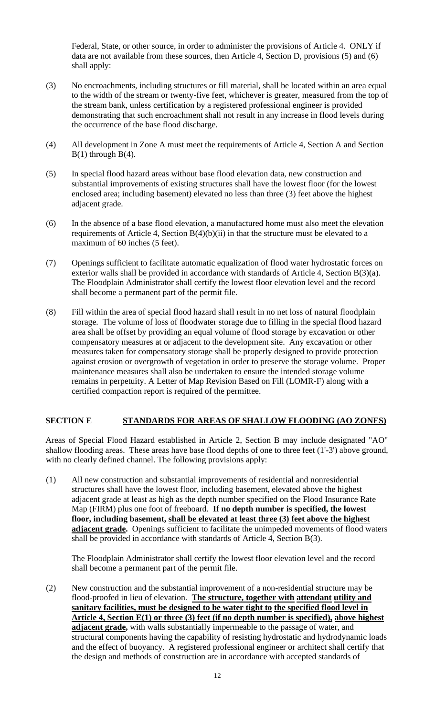Federal, State, or other source, in order to administer the provisions of Article 4. ONLY if data are not available from these sources, then Article 4, Section D, provisions (5) and (6) shall apply:

- (3) No encroachments, including structures or fill material, shall be located within an area equal to the width of the stream or twenty-five feet, whichever is greater, measured from the top of the stream bank, unless certification by a registered professional engineer is provided demonstrating that such encroachment shall not result in any increase in flood levels during the occurrence of the base flood discharge.
- (4) All development in Zone A must meet the requirements of Article 4, Section A and Section  $B(1)$  through  $B(4)$ .
- (5) In special flood hazard areas without base flood elevation data, new construction and substantial improvements of existing structures shall have the lowest floor (for the lowest enclosed area; including basement) elevated no less than three (3) feet above the highest adjacent grade.
- (6) In the absence of a base flood elevation, a manufactured home must also meet the elevation requirements of Article 4, Section  $B(4)(b)(ii)$  in that the structure must be elevated to a maximum of 60 inches (5 feet).
- (7) Openings sufficient to facilitate automatic equalization of flood water hydrostatic forces on exterior walls shall be provided in accordance with standards of Article 4, Section B(3)(a). The Floodplain Administrator shall certify the lowest floor elevation level and the record shall become a permanent part of the permit file.
- (8) Fill within the area of special flood hazard shall result in no net loss of natural floodplain storage. The volume of loss of floodwater storage due to filling in the special flood hazard area shall be offset by providing an equal volume of flood storage by excavation or other compensatory measures at or adjacent to the development site. Any excavation or other measures taken for compensatory storage shall be properly designed to provide protection against erosion or overgrowth of vegetation in order to preserve the storage volume. Proper maintenance measures shall also be undertaken to ensure the intended storage volume remains in perpetuity. A Letter of Map Revision Based on Fill (LOMR-F) along with a certified compaction report is required of the permittee.

# **SECTION E STANDARDS FOR AREAS OF SHALLOW FLOODING (AO ZONES)**

Areas of Special Flood Hazard established in Article 2, Section B may include designated "AO" shallow flooding areas. These areas have base flood depths of one to three feet (1'-3') above ground, with no clearly defined channel. The following provisions apply:

(1) All new construction and substantial improvements of residential and nonresidential structures shall have the lowest floor, including basement, elevated above the highest adjacent grade at least as high as the depth number specified on the Flood Insurance Rate Map (FIRM) plus one foot of freeboard. **If no depth number is specified, the lowest floor, including basement, shall be elevated at least three (3) feet above the highest adjacent grade.** Openings sufficient to facilitate the unimpeded movements of flood waters shall be provided in accordance with standards of Article 4, Section B(3).

The Floodplain Administrator shall certify the lowest floor elevation level and the record shall become a permanent part of the permit file.

(2) New construction and the substantial improvement of a non-residential structure may be flood-proofed in lieu of elevation. **The structure, together with attendant utility and sanitary facilities, must be designed to be water tight to the specified flood level in Article 4, Section E(1) or three (3) feet (if no depth number is specified), above highest adjacent grade,** with walls substantially impermeable to the passage of water, and structural components having the capability of resisting hydrostatic and hydrodynamic loads and the effect of buoyancy. A registered professional engineer or architect shall certify that the design and methods of construction are in accordance with accepted standards of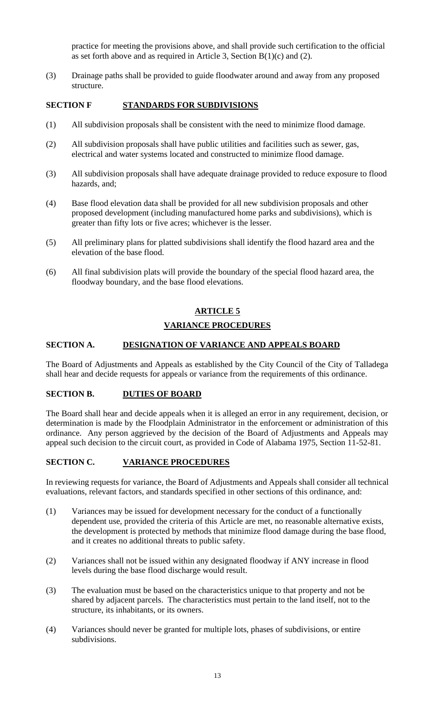practice for meeting the provisions above, and shall provide such certification to the official as set forth above and as required in Article 3, Section B(1)(c) and (2).

(3) Drainage paths shall be provided to guide floodwater around and away from any proposed structure.

### **SECTION F STANDARDS FOR SUBDIVISIONS**

- (1) All subdivision proposals shall be consistent with the need to minimize flood damage.
- (2) All subdivision proposals shall have public utilities and facilities such as sewer, gas, electrical and water systems located and constructed to minimize flood damage.
- (3) All subdivision proposals shall have adequate drainage provided to reduce exposure to flood hazards, and;
- (4) Base flood elevation data shall be provided for all new subdivision proposals and other proposed development (including manufactured home parks and subdivisions), which is greater than fifty lots or five acres; whichever is the lesser.
- (5) All preliminary plans for platted subdivisions shall identify the flood hazard area and the elevation of the base flood.
- (6) All final subdivision plats will provide the boundary of the special flood hazard area, the floodway boundary, and the base flood elevations.

# **ARTICLE 5 VARIANCE PROCEDURES**

### **SECTION A. DESIGNATION OF VARIANCE AND APPEALS BOARD**

The Board of Adjustments and Appeals as established by the City Council of the City of Talladega shall hear and decide requests for appeals or variance from the requirements of this ordinance.

### **SECTION B. DUTIES OF BOARD**

The Board shall hear and decide appeals when it is alleged an error in any requirement, decision, or determination is made by the Floodplain Administrator in the enforcement or administration of this ordinance. Any person aggrieved by the decision of the Board of Adjustments and Appeals may appeal such decision to the circuit court, as provided in Code of Alabama 1975, Section 11-52-81.

# **SECTION C. VARIANCE PROCEDURES**

In reviewing requests for variance, the Board of Adjustments and Appeals shall consider all technical evaluations, relevant factors, and standards specified in other sections of this ordinance, and:

- (1) Variances may be issued for development necessary for the conduct of a functionally dependent use, provided the criteria of this Article are met, no reasonable alternative exists, the development is protected by methods that minimize flood damage during the base flood, and it creates no additional threats to public safety.
- (2) Variances shall not be issued within any designated floodway if ANY increase in flood levels during the base flood discharge would result.
- (3) The evaluation must be based on the characteristics unique to that property and not be shared by adjacent parcels. The characteristics must pertain to the land itself, not to the structure, its inhabitants, or its owners.
- (4) Variances should never be granted for multiple lots, phases of subdivisions, or entire subdivisions.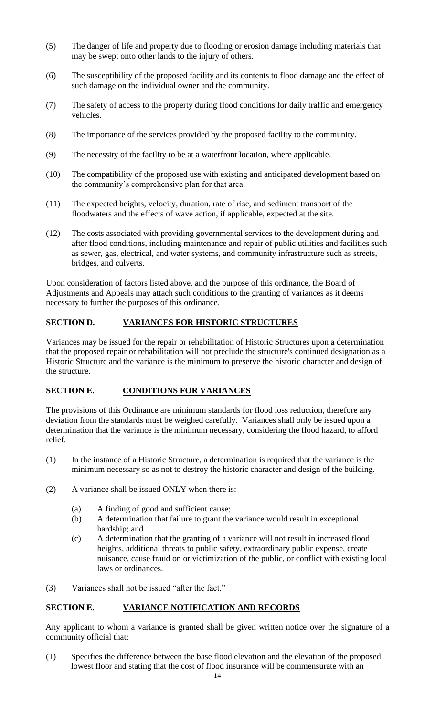- (5) The danger of life and property due to flooding or erosion damage including materials that may be swept onto other lands to the injury of others.
- (6) The susceptibility of the proposed facility and its contents to flood damage and the effect of such damage on the individual owner and the community.
- (7) The safety of access to the property during flood conditions for daily traffic and emergency vehicles.
- (8) The importance of the services provided by the proposed facility to the community.
- (9) The necessity of the facility to be at a waterfront location, where applicable.
- (10) The compatibility of the proposed use with existing and anticipated development based on the community's comprehensive plan for that area.
- (11) The expected heights, velocity, duration, rate of rise, and sediment transport of the floodwaters and the effects of wave action, if applicable, expected at the site.
- (12) The costs associated with providing governmental services to the development during and after flood conditions, including maintenance and repair of public utilities and facilities such as sewer, gas, electrical, and water systems, and community infrastructure such as streets, bridges, and culverts.

Upon consideration of factors listed above, and the purpose of this ordinance, the Board of Adjustments and Appeals may attach such conditions to the granting of variances as it deems necessary to further the purposes of this ordinance.

# **SECTION D. VARIANCES FOR HISTORIC STRUCTURES**

Variances may be issued for the repair or rehabilitation of Historic Structures upon a determination that the proposed repair or rehabilitation will not preclude the structure's continued designation as a Historic Structure and the variance is the minimum to preserve the historic character and design of the structure.

# **SECTION E. CONDITIONS FOR VARIANCES**

The provisions of this Ordinance are minimum standards for flood loss reduction, therefore any deviation from the standards must be weighed carefully. Variances shall only be issued upon a determination that the variance is the minimum necessary, considering the flood hazard, to afford relief.

- (1) In the instance of a Historic Structure, a determination is required that the variance is the minimum necessary so as not to destroy the historic character and design of the building.
- (2) A variance shall be issued  $ONLY$  when there is:
	- (a) A finding of good and sufficient cause;
	- (b) A determination that failure to grant the variance would result in exceptional hardship; and
	- (c) A determination that the granting of a variance will not result in increased flood heights, additional threats to public safety, extraordinary public expense, create nuisance, cause fraud on or victimization of the public, or conflict with existing local laws or ordinances.
- (3) Variances shall not be issued "after the fact."

# **SECTION E. VARIANCE NOTIFICATION AND RECORDS**

Any applicant to whom a variance is granted shall be given written notice over the signature of a community official that:

(1) Specifies the difference between the base flood elevation and the elevation of the proposed lowest floor and stating that the cost of flood insurance will be commensurate with an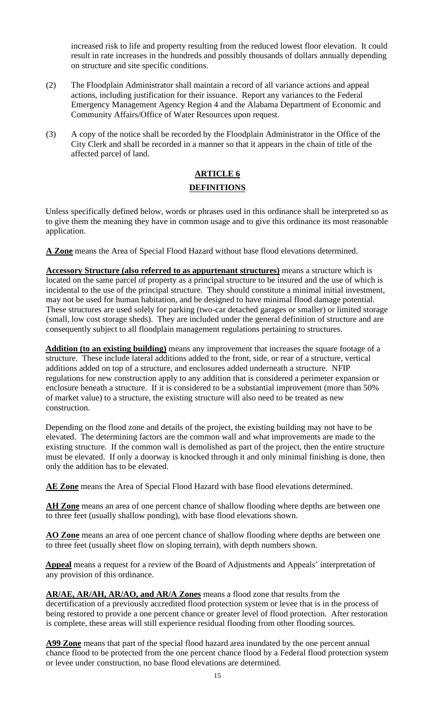increased risk to life and property resulting from the reduced lowest floor elevation. It could result in rate increases in the hundreds and possibly thousands of dollars annually depending on structure and site specific conditions.

- (2) The Floodplain Administrator shall maintain a record of all variance actions and appeal actions, including justification for their issuance. Report any variances to the Federal Emergency Management Agency Region 4 and the Alabama Department of Economic and Community Affairs/Office of Water Resources upon request.
- (3) A copy of the notice shall be recorded by the Floodplain Administrator in the Office of the City Clerk and shall be recorded in a manner so that it appears in the chain of title of the affected parcel of land.

# **ARTICLE 6 DEFINITIONS**

Unless specifically defined below, words or phrases used in this ordinance shall be interpreted so as to give them the meaning they have in common usage and to give this ordinance its most reasonable application.

**A Zone** means the Area of Special Flood Hazard without base flood elevations determined.

**Accessory Structure (also referred to as appurtenant structures)** means a structure which is located on the same parcel of property as a principal structure to be insured and the use of which is incidental to the use of the principal structure. They should constitute a minimal initial investment, may not be used for human habitation, and be designed to have minimal flood damage potential. These structures are used solely for parking (two-car detached garages or smaller) or limited storage (small, low cost storage sheds). They are included under the general definition of structure and are consequently subject to all floodplain management regulations pertaining to structures.

**Addition (to an existing building)** means any improvement that increases the square footage of a structure. These include lateral additions added to the front, side, or rear of a structure, vertical additions added on top of a structure, and enclosures added underneath a structure. NFIP regulations for new construction apply to any addition that is considered a perimeter expansion or enclosure beneath a structure. If it is considered to be a substantial improvement (more than 50% of market value) to a structure, the existing structure will also need to be treated as new construction.

Depending on the flood zone and details of the project, the existing building may not have to be elevated. The determining factors are the common wall and what improvements are made to the existing structure. If the common wall is demolished as part of the project, then the entire structure must be elevated. If only a doorway is knocked through it and only minimal finishing is done, then only the addition has to be elevated.

**AE Zone** means the Area of Special Flood Hazard with base flood elevations determined.

**AH Zone** means an area of one percent chance of shallow flooding where depths are between one to three feet (usually shallow ponding), with base flood elevations shown.

**AO Zone** means an area of one percent chance of shallow flooding where depths are between one to three feet (usually sheet flow on sloping terrain), with depth numbers shown.

**Appeal** means a request for a review of the Board of Adjustments and Appeals' interpretation of any provision of this ordinance.

**AR/AE, AR/AH, AR/AO, and AR/A Zones** means a flood zone that results from the decertification of a previously accredited flood protection system or levee that is in the process of being restored to provide a one percent chance or greater level of flood protection. After restoration is complete, these areas will still experience residual flooding from other flooding sources.

A99 Zone means that part of the special flood hazard area inundated by the one percent annual chance flood to be protected from the one percent chance flood by a Federal flood protection system or levee under construction, no base flood elevations are determined.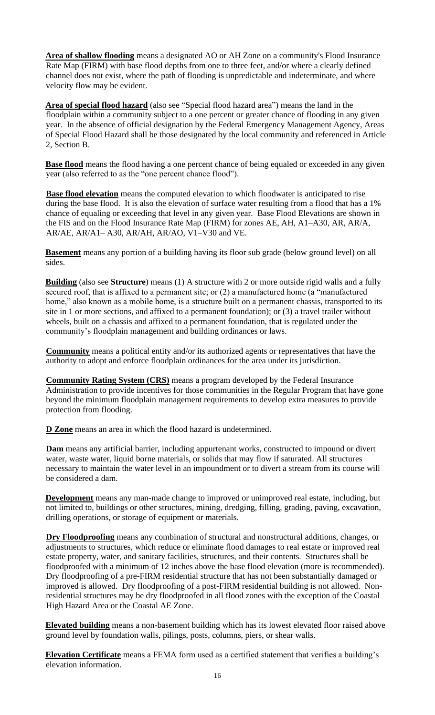**Area of shallow flooding** means a designated AO or AH Zone on a community's Flood Insurance Rate Map (FIRM) with base flood depths from one to three feet, and/or where a clearly defined channel does not exist, where the path of flooding is unpredictable and indeterminate, and where velocity flow may be evident.

**Area of special flood hazard** (also see "Special flood hazard area") means the land in the floodplain within a community subject to a one percent or greater chance of flooding in any given year. In the absence of official designation by the Federal Emergency Management Agency, Areas of Special Flood Hazard shall be those designated by the local community and referenced in Article 2, Section B.

**Base flood** means the flood having a one percent chance of being equaled or exceeded in any given year (also referred to as the "one percent chance flood").

**Base flood elevation** means the computed elevation to which floodwater is anticipated to rise during the base flood. It is also the elevation of surface water resulting from a flood that has a 1% chance of equaling or exceeding that level in any given year. Base Flood Elevations are shown in the FIS and on the Flood Insurance Rate Map (FIRM) for zones AE, AH, A1–A30, AR, AR/A, AR/AE, AR/A1– A30, AR/AH, AR/AO, V1–V30 and VE.

**Basement** means any portion of a building having its floor sub grade (below ground level) on all sides.

**Building** (also see **Structure**) means (1) A structure with 2 or more outside rigid walls and a fully secured roof, that is affixed to a permanent site; or (2) a manufactured home (a "manufactured home," also known as a mobile home, is a structure built on a permanent chassis, transported to its site in 1 or more sections, and affixed to a permanent foundation); or (3) a travel trailer without wheels, built on a chassis and affixed to a permanent foundation, that is regulated under the community's floodplain management and building ordinances or laws.

**Community** means a political entity and/or its authorized agents or representatives that have the authority to adopt and enforce floodplain ordinances for the area under its jurisdiction.

**Community Rating System (CRS)** means a program developed by the Federal Insurance Administration to provide incentives for those communities in the Regular Program that have gone beyond the minimum floodplain management requirements to develop extra measures to provide protection from flooding.

**D Zone** means an area in which the flood hazard is undetermined.

**Dam** means any artificial barrier, including appurtenant works, constructed to impound or divert water, waste water, liquid borne materials, or solids that may flow if saturated. All structures necessary to maintain the water level in an impoundment or to divert a stream from its course will be considered a dam.

**Development** means any man-made change to improved or unimproved real estate, including, but not limited to, buildings or other structures, mining, dredging, filling, grading, paving, excavation, drilling operations, or storage of equipment or materials.

**Dry Floodproofing** means any combination of structural and nonstructural additions, changes, or adjustments to structures, which reduce or eliminate flood damages to real estate or improved real estate property, water, and sanitary facilities, structures, and their contents. Structures shall be floodproofed with a minimum of 12 inches above the base flood elevation (more is recommended). Dry floodproofing of a pre-FIRM residential structure that has not been substantially damaged or improved is allowed. Dry floodproofing of a post-FIRM residential building is not allowed. Nonresidential structures may be dry floodproofed in all flood zones with the exception of the Coastal High Hazard Area or the Coastal AE Zone.

**Elevated building** means a non-basement building which has its lowest elevated floor raised above ground level by foundation walls, pilings, posts, columns, piers, or shear walls.

**Elevation Certificate** means a FEMA form used as a certified statement that verifies a building's elevation information.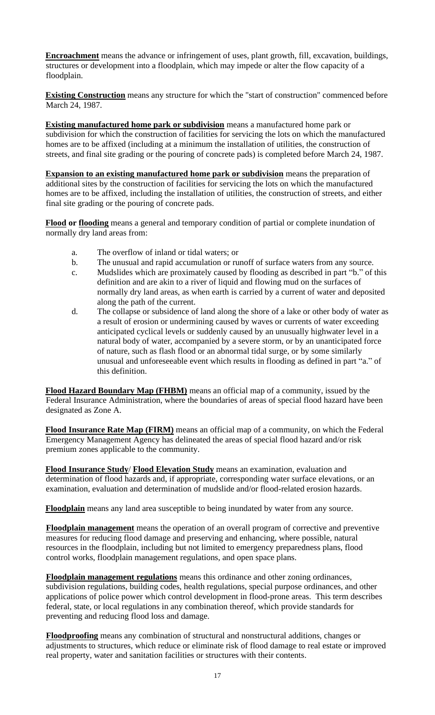**Encroachment** means the advance or infringement of uses, plant growth, fill, excavation, buildings, structures or development into a floodplain, which may impede or alter the flow capacity of a floodplain.

**Existing Construction** means any structure for which the "start of construction" commenced before March 24, 1987.

**Existing manufactured home park or subdivision** means a manufactured home park or subdivision for which the construction of facilities for servicing the lots on which the manufactured homes are to be affixed (including at a minimum the installation of utilities, the construction of streets, and final site grading or the pouring of concrete pads) is completed before March 24, 1987.

**Expansion to an existing manufactured home park or subdivision** means the preparation of additional sites by the construction of facilities for servicing the lots on which the manufactured homes are to be affixed, including the installation of utilities, the construction of streets, and either final site grading or the pouring of concrete pads.

**Flood or flooding** means a general and temporary condition of partial or complete inundation of normally dry land areas from:

- a. The overflow of inland or tidal waters; or
- b. The unusual and rapid accumulation or runoff of surface waters from any source.
- c. Mudslides which are proximately caused by flooding as described in part "b." of this definition and are akin to a river of liquid and flowing mud on the surfaces of normally dry land areas, as when earth is carried by a current of water and deposited along the path of the current.
- d. The collapse or subsidence of land along the shore of a lake or other body of water as a result of erosion or undermining caused by waves or currents of water exceeding anticipated cyclical levels or suddenly caused by an unusually highwater level in a natural body of water, accompanied by a severe storm, or by an unanticipated force of nature, such as flash flood or an abnormal tidal surge, or by some similarly unusual and unforeseeable event which results in flooding as defined in part "a." of this definition.

**Flood Hazard Boundary Map (FHBM)** means an official map of a community, issued by the Federal Insurance Administration, where the boundaries of areas of special flood hazard have been designated as Zone A.

**Flood Insurance Rate Map (FIRM)** means an official map of a community, on which the Federal Emergency Management Agency has delineated the areas of special flood hazard and/or risk premium zones applicable to the community.

**Flood Insurance Study**/ **Flood Elevation Study** means an examination, evaluation and determination of flood hazards and, if appropriate, corresponding water surface elevations, or an examination, evaluation and determination of mudslide and/or flood-related erosion hazards.

**Floodplain** means any land area susceptible to being inundated by water from any source.

**Floodplain management** means the operation of an overall program of corrective and preventive measures for reducing flood damage and preserving and enhancing, where possible, natural resources in the floodplain, including but not limited to emergency preparedness plans, flood control works, floodplain management regulations, and open space plans.

**Floodplain management regulations** means this ordinance and other zoning ordinances, subdivision regulations, building codes, health regulations, special purpose ordinances, and other applications of police power which control development in flood-prone areas. This term describes federal, state, or local regulations in any combination thereof, which provide standards for preventing and reducing flood loss and damage.

**Floodproofing** means any combination of structural and nonstructural additions, changes or adjustments to structures, which reduce or eliminate risk of flood damage to real estate or improved real property, water and sanitation facilities or structures with their contents.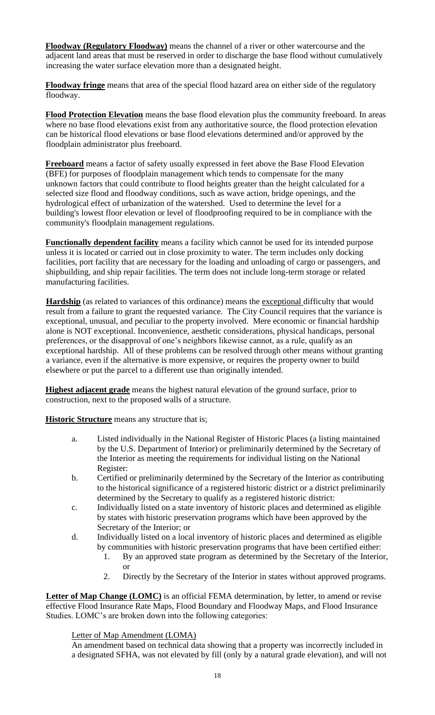**Floodway (Regulatory Floodway)** means the channel of a river or other watercourse and the adjacent land areas that must be reserved in order to discharge the base flood without cumulatively increasing the water surface elevation more than a designated height.

**Floodway fringe** means that area of the special flood hazard area on either side of the regulatory floodway.

**Flood Protection Elevation** means the base flood elevation plus the community freeboard. In areas where no base flood elevations exist from any authoritative source, the flood protection elevation can be historical flood elevations or base flood elevations determined and/or approved by the floodplain administrator plus freeboard.

**Freeboard** means a factor of safety usually expressed in feet above the Base Flood Elevation (BFE) for purposes of floodplain management which tends to compensate for the many unknown factors that could contribute to flood heights greater than the height calculated for a selected size flood and floodway conditions, such as wave action, bridge openings, and the hydrological effect of urbanization of the watershed. Used to determine the level for a building's lowest floor elevation or level of floodproofing required to be in compliance with the community's floodplain management regulations.

**Functionally dependent facility** means a facility which cannot be used for its intended purpose unless it is located or carried out in close proximity to water. The term includes only docking facilities, port facility that are necessary for the loading and unloading of cargo or passengers, and shipbuilding, and ship repair facilities. The term does not include long-term storage or related manufacturing facilities.

**Hardship** (as related to variances of this ordinance) means the exceptional difficulty that would result from a failure to grant the requested variance. The City Council requires that the variance is exceptional, unusual, and peculiar to the property involved. Mere economic or financial hardship alone is NOT exceptional. Inconvenience, aesthetic considerations, physical handicaps, personal preferences, or the disapproval of one's neighbors likewise cannot, as a rule, qualify as an exceptional hardship. All of these problems can be resolved through other means without granting a variance, even if the alternative is more expensive, or requires the property owner to build elsewhere or put the parcel to a different use than originally intended.

**Highest adjacent grade** means the highest natural elevation of the ground surface, prior to construction, next to the proposed walls of a structure.

**Historic Structure** means any structure that is;

- a. Listed individually in the National Register of Historic Places (a listing maintained by the U.S. Department of Interior) or preliminarily determined by the Secretary of the Interior as meeting the requirements for individual listing on the National Register:
- b. Certified or preliminarily determined by the Secretary of the Interior as contributing to the historical significance of a registered historic district or a district preliminarily determined by the Secretary to qualify as a registered historic district:
- c. Individually listed on a state inventory of historic places and determined as eligible by states with historic preservation programs which have been approved by the Secretary of the Interior; or
- d. Individually listed on a local inventory of historic places and determined as eligible by communities with historic preservation programs that have been certified either:
	- 1. By an approved state program as determined by the Secretary of the Interior, or
	- 2. Directly by the Secretary of the Interior in states without approved programs.

Letter of Map Change (LOMC) is an official FEMA determination, by letter, to amend or revise effective Flood Insurance Rate Maps, Flood Boundary and Floodway Maps, and Flood Insurance Studies. LOMC's are broken down into the following categories:

# Letter of Map Amendment (LOMA)

An amendment based on technical data showing that a property was incorrectly included in a designated SFHA, was not elevated by fill (only by a natural grade elevation), and will not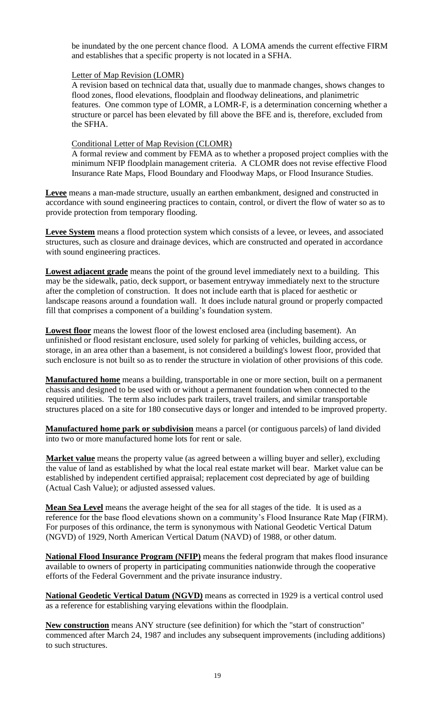be inundated by the one percent chance flood. A LOMA amends the current effective FIRM and establishes that a specific property is not located in a SFHA.

### Letter of Map Revision (LOMR)

A revision based on technical data that, usually due to manmade changes, shows changes to flood zones, flood elevations, floodplain and floodway delineations, and planimetric features. One common type of LOMR, a LOMR-F, is a determination concerning whether a structure or parcel has been elevated by fill above the BFE and is, therefore, excluded from the SFHA.

### Conditional Letter of Map Revision (CLOMR)

A formal review and comment by FEMA as to whether a proposed project complies with the minimum NFIP floodplain management criteria. A CLOMR does not revise effective Flood Insurance Rate Maps, Flood Boundary and Floodway Maps, or Flood Insurance Studies.

**Levee** means a man-made structure, usually an earthen embankment, designed and constructed in accordance with sound engineering practices to contain, control, or divert the flow of water so as to provide protection from temporary flooding.

**Levee System** means a flood protection system which consists of a levee, or levees, and associated structures, such as closure and drainage devices, which are constructed and operated in accordance with sound engineering practices.

**Lowest adjacent grade** means the point of the ground level immediately next to a building. This may be the sidewalk, patio, deck support, or basement entryway immediately next to the structure after the completion of construction. It does not include earth that is placed for aesthetic or landscape reasons around a foundation wall. It does include natural ground or properly compacted fill that comprises a component of a building's foundation system.

**Lowest floor** means the lowest floor of the lowest enclosed area (including basement). An unfinished or flood resistant enclosure, used solely for parking of vehicles, building access, or storage, in an area other than a basement, is not considered a building's lowest floor, provided that such enclosure is not built so as to render the structure in violation of other provisions of this code.

**Manufactured home** means a building, transportable in one or more section, built on a permanent chassis and designed to be used with or without a permanent foundation when connected to the required utilities. The term also includes park trailers, travel trailers, and similar transportable structures placed on a site for 180 consecutive days or longer and intended to be improved property.

**Manufactured home park or subdivision** means a parcel (or contiguous parcels) of land divided into two or more manufactured home lots for rent or sale.

**Market value** means the property value (as agreed between a willing buyer and seller), excluding the value of land as established by what the local real estate market will bear. Market value can be established by independent certified appraisal; replacement cost depreciated by age of building (Actual Cash Value); or adjusted assessed values.

**Mean Sea Level** means the average height of the sea for all stages of the tide. It is used as a reference for the base flood elevations shown on a community's Flood Insurance Rate Map (FIRM). For purposes of this ordinance, the term is synonymous with National Geodetic Vertical Datum (NGVD) of 1929, North American Vertical Datum (NAVD) of 1988, or other datum.

**National Flood Insurance Program (NFIP)** means the federal program that makes flood insurance available to owners of property in participating communities nationwide through the cooperative efforts of the Federal Government and the private insurance industry.

**National Geodetic Vertical Datum (NGVD)** means as corrected in 1929 is a vertical control used as a reference for establishing varying elevations within the floodplain.

**New construction** means ANY structure (see definition) for which the "start of construction" commenced after March 24, 1987 and includes any subsequent improvements (including additions) to such structures.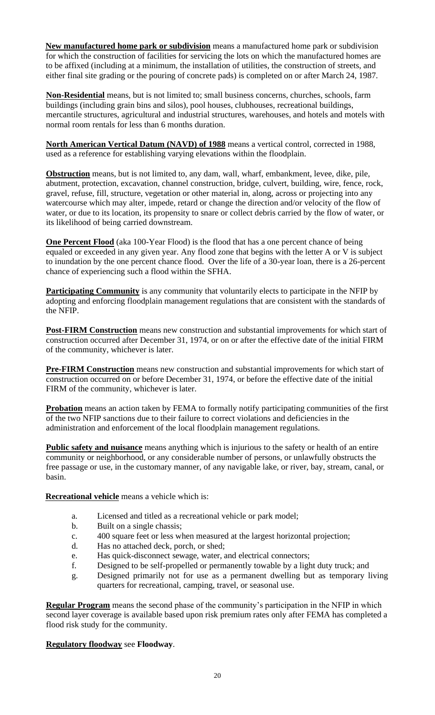**New manufactured home park or subdivision** means a manufactured home park or subdivision for which the construction of facilities for servicing the lots on which the manufactured homes are to be affixed (including at a minimum, the installation of utilities, the construction of streets, and either final site grading or the pouring of concrete pads) is completed on or after March 24, 1987.

**Non-Residential** means, but is not limited to; small business concerns, churches, schools, farm buildings (including grain bins and silos), pool houses, clubhouses, recreational buildings, mercantile structures, agricultural and industrial structures, warehouses, and hotels and motels with normal room rentals for less than 6 months duration.

**North American Vertical Datum (NAVD) of 1988** means a vertical control, corrected in 1988, used as a reference for establishing varying elevations within the floodplain.

**Obstruction** means, but is not limited to, any dam, wall, wharf, embankment, levee, dike, pile, abutment, protection, excavation, channel construction, bridge, culvert, building, wire, fence, rock, gravel, refuse, fill, structure, vegetation or other material in, along, across or projecting into any watercourse which may alter, impede, retard or change the direction and/or velocity of the flow of water, or due to its location, its propensity to snare or collect debris carried by the flow of water, or its likelihood of being carried downstream.

**One Percent Flood** (aka 100-Year Flood) is the flood that has a one percent chance of being equaled or exceeded in any given year. Any flood zone that begins with the letter A or V is subject to inundation by the one percent chance flood. Over the life of a 30-year loan, there is a 26-percent chance of experiencing such a flood within the SFHA.

**Participating Community** is any community that voluntarily elects to participate in the NFIP by adopting and enforcing floodplain management regulations that are consistent with the standards of the NFIP.

**Post-FIRM Construction** means new construction and substantial improvements for which start of construction occurred after December 31, 1974, or on or after the effective date of the initial FIRM of the community, whichever is later.

**Pre-FIRM Construction** means new construction and substantial improvements for which start of construction occurred on or before December 31, 1974, or before the effective date of the initial FIRM of the community, whichever is later.

**Probation** means an action taken by FEMA to formally notify participating communities of the first of the two NFIP sanctions due to their failure to correct violations and deficiencies in the administration and enforcement of the local floodplain management regulations.

**Public safety and nuisance** means anything which is injurious to the safety or health of an entire community or neighborhood, or any considerable number of persons, or unlawfully obstructs the free passage or use, in the customary manner, of any navigable lake, or river, bay, stream, canal, or basin.

**Recreational vehicle** means a vehicle which is:

- a. Licensed and titled as a recreational vehicle or park model;
- b. Built on a single chassis;
- c. 400 square feet or less when measured at the largest horizontal projection;
- d. Has no attached deck, porch, or shed;
- e. Has quick-disconnect sewage, water, and electrical connectors;
- f. Designed to be self-propelled or permanently towable by a light duty truck; and
- g. Designed primarily not for use as a permanent dwelling but as temporary living quarters for recreational, camping, travel, or seasonal use.

**Regular Program** means the second phase of the community's participation in the NFIP in which second layer coverage is available based upon risk premium rates only after FEMA has completed a flood risk study for the community.

# **Regulatory floodway** see **Floodway**.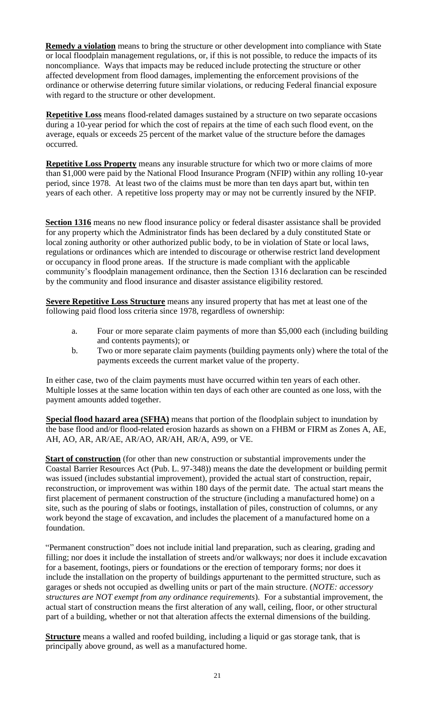**Remedy a violation** means to bring the structure or other development into compliance with State or local floodplain management regulations, or, if this is not possible, to reduce the impacts of its noncompliance. Ways that impacts may be reduced include protecting the structure or other affected development from flood damages, implementing the enforcement provisions of the ordinance or otherwise deterring future similar violations, or reducing Federal financial exposure with regard to the structure or other development.

**Repetitive Loss** means flood-related damages sustained by a structure on two separate occasions during a 10-year period for which the cost of repairs at the time of each such flood event, on the average, equals or exceeds 25 percent of the market value of the structure before the damages occurred.

**Repetitive Loss Property** means any insurable structure for which two or more claims of more than \$1,000 were paid by the National Flood Insurance Program (NFIP) within any rolling 10-year period, since 1978. At least two of the claims must be more than ten days apart but, within ten years of each other. A repetitive loss property may or may not be currently insured by the NFIP.

**Section 1316** means no new flood insurance policy or federal disaster assistance shall be provided for any property which the Administrator finds has been declared by a duly constituted State or local zoning authority or other authorized public body, to be in violation of State or local laws, regulations or ordinances which are intended to discourage or otherwise restrict land development or occupancy in flood prone areas. If the structure is made compliant with the applicable community's floodplain management ordinance, then the Section 1316 declaration can be rescinded by the community and flood insurance and disaster assistance eligibility restored.

**Severe Repetitive Loss Structure** means any insured property that has met at least one of the following paid flood loss criteria since 1978, regardless of ownership:

- a. Four or more separate claim payments of more than \$5,000 each (including building and contents payments); or
- b. Two or more separate claim payments (building payments only) where the total of the payments exceeds the current market value of the property.

In either case, two of the claim payments must have occurred within ten years of each other. Multiple losses at the same location within ten days of each other are counted as one loss, with the payment amounts added together.

**Special flood hazard area (SFHA)** means that portion of the floodplain subject to inundation by the base flood and/or flood-related erosion hazards as shown on a FHBM or FIRM as Zones A, AE, AH, AO, AR, AR/AE, AR/AO, AR/AH, AR/A, A99, or VE.

**Start of construction** (for other than new construction or substantial improvements under the Coastal Barrier Resources Act (Pub. L. 97-348)) means the date the development or building permit was issued (includes substantial improvement), provided the actual start of construction, repair, reconstruction, or improvement was within 180 days of the permit date. The actual start means the first placement of permanent construction of the structure (including a manufactured home) on a site, such as the pouring of slabs or footings, installation of piles, construction of columns, or any work beyond the stage of excavation, and includes the placement of a manufactured home on a foundation.

"Permanent construction" does not include initial land preparation, such as clearing, grading and filling; nor does it include the installation of streets and/or walkways; nor does it include excavation for a basement, footings, piers or foundations or the erection of temporary forms; nor does it include the installation on the property of buildings appurtenant to the permitted structure, such as garages or sheds not occupied as dwelling units or part of the main structure. (*NOTE: accessory structures are NOT exempt from any ordinance requirements*). For a substantial improvement, the actual start of construction means the first alteration of any wall, ceiling, floor, or other structural part of a building, whether or not that alteration affects the external dimensions of the building.

**Structure** means a walled and roofed building, including a liquid or gas storage tank, that is principally above ground, as well as a manufactured home.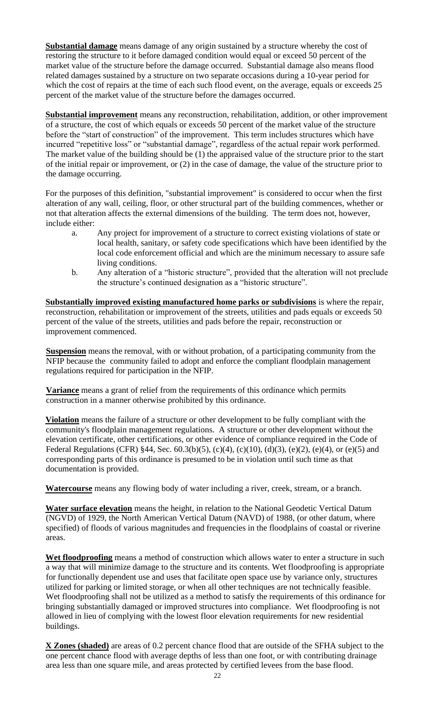**Substantial damage** means damage of any origin sustained by a structure whereby the cost of restoring the structure to it before damaged condition would equal or exceed 50 percent of the market value of the structure before the damage occurred. Substantial damage also means flood related damages sustained by a structure on two separate occasions during a 10-year period for which the cost of repairs at the time of each such flood event, on the average, equals or exceeds 25 percent of the market value of the structure before the damages occurred.

**Substantial improvement** means any reconstruction, rehabilitation, addition, or other improvement of a structure, the cost of which equals or exceeds 50 percent of the market value of the structure before the "start of construction" of the improvement. This term includes structures which have incurred "repetitive loss" or "substantial damage", regardless of the actual repair work performed. The market value of the building should be (1) the appraised value of the structure prior to the start of the initial repair or improvement, or (2) in the case of damage, the value of the structure prior to the damage occurring.

For the purposes of this definition, "substantial improvement" is considered to occur when the first alteration of any wall, ceiling, floor, or other structural part of the building commences, whether or not that alteration affects the external dimensions of the building. The term does not, however, include either:

- a. Any project for improvement of a structure to correct existing violations of state or local health, sanitary, or safety code specifications which have been identified by the local code enforcement official and which are the minimum necessary to assure safe living conditions.
- b. Any alteration of a "historic structure", provided that the alteration will not preclude the structure's continued designation as a "historic structure".

**Substantially improved existing manufactured home parks or subdivisions** is where the repair, reconstruction, rehabilitation or improvement of the streets, utilities and pads equals or exceeds 50 percent of the value of the streets, utilities and pads before the repair, reconstruction or improvement commenced.

**Suspension** means the removal, with or without probation, of a participating community from the NFIP because the community failed to adopt and enforce the compliant floodplain management regulations required for participation in the NFIP.

**Variance** means a grant of relief from the requirements of this ordinance which permits construction in a manner otherwise prohibited by this ordinance.

**Violation** means the failure of a structure or other development to be fully compliant with the community's floodplain management regulations. A structure or other development without the elevation certificate, other certifications, or other evidence of compliance required in the Code of Federal Regulations (CFR) §44, Sec. 60.3(b)(5), (c)(4), (c)(10), (d)(3), (e)(2), (e)(4), or (e)(5) and corresponding parts of this ordinance is presumed to be in violation until such time as that documentation is provided.

**Watercourse** means any flowing body of water including a river, creek, stream, or a branch.

**Water surface elevation** means the height, in relation to the National Geodetic Vertical Datum (NGVD) of 1929, the North American Vertical Datum (NAVD) of 1988, (or other datum, where specified) of floods of various magnitudes and frequencies in the floodplains of coastal or riverine areas.

**Wet floodproofing** means a method of construction which allows water to enter a structure in such a way that will minimize damage to the structure and its contents. Wet floodproofing is appropriate for functionally dependent use and uses that facilitate open space use by variance only, structures utilized for parking or limited storage, or when all other techniques are not technically feasible. Wet floodproofing shall not be utilized as a method to satisfy the requirements of this ordinance for bringing substantially damaged or improved structures into compliance. Wet floodproofing is not allowed in lieu of complying with the lowest floor elevation requirements for new residential buildings.

**X Zones (shaded)** are areas of 0.2 percent chance flood that are outside of the SFHA subject to the one percent chance flood with average depths of less than one foot, or with contributing drainage area less than one square mile, and areas protected by certified levees from the base flood.